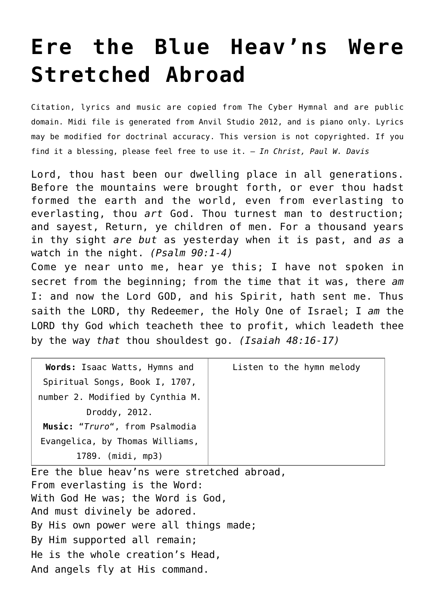## **[Ere the Blue Heav'ns Were](http://reproachofmen.org/hymns-and-music/ere-the-blue-heavns-were-stretched-abroad/) [Stretched Abroad](http://reproachofmen.org/hymns-and-music/ere-the-blue-heavns-were-stretched-abroad/)**

Citation, lyrics and music are copied from [The Cyber Hymnal](http://www.hymntime.com/tch/index.htm) and are public domain. Midi file is generated from Anvil Studio 2012, and is piano only. Lyrics may be modified for doctrinal accuracy. This version is not copyrighted. If you find it a blessing, please feel free to use it. — *In Christ, Paul W. Davis*

Lord, thou hast been our dwelling place in all generations. Before the mountains were brought forth, or ever thou hadst formed the earth and the world, even from everlasting to everlasting, thou *art* God. Thou turnest man to destruction; and sayest, Return, ye children of men. For a thousand years in thy sight *are but* as yesterday when it is past, and *as* a watch in the night. *(Psalm 90:1-4)*

Come ye near unto me, hear ye this; I have not spoken in secret from the beginning; from the time that it was, there *am* I: and now the Lord GOD, and his Spirit, hath sent me. Thus saith the LORD, thy Redeemer, the Holy One of Israel; I *am* the LORD thy God which teacheth thee to profit, which leadeth thee by the way *that* thou shouldest go. *(Isaiah 48:16-17)*

| Words: Isaac Watts, Hymns and    | Listen to the hymn melody |
|----------------------------------|---------------------------|
| Spiritual Songs, Book I, 1707,   |                           |
| number 2. Modified by Cynthia M. |                           |
| Droddy, 2012.                    |                           |
| Music: "Truro", from Psalmodia   |                           |
| Evangelica, by Thomas Williams,  |                           |
| 1789. (midi, mp3)                |                           |

Ere the blue heav'ns were stretched abroad, From everlasting is the Word: With God He was; the Word is God, And must divinely be adored. By His own power were all things made; By Him supported all remain; He is the whole creation's Head, And angels fly at His command.